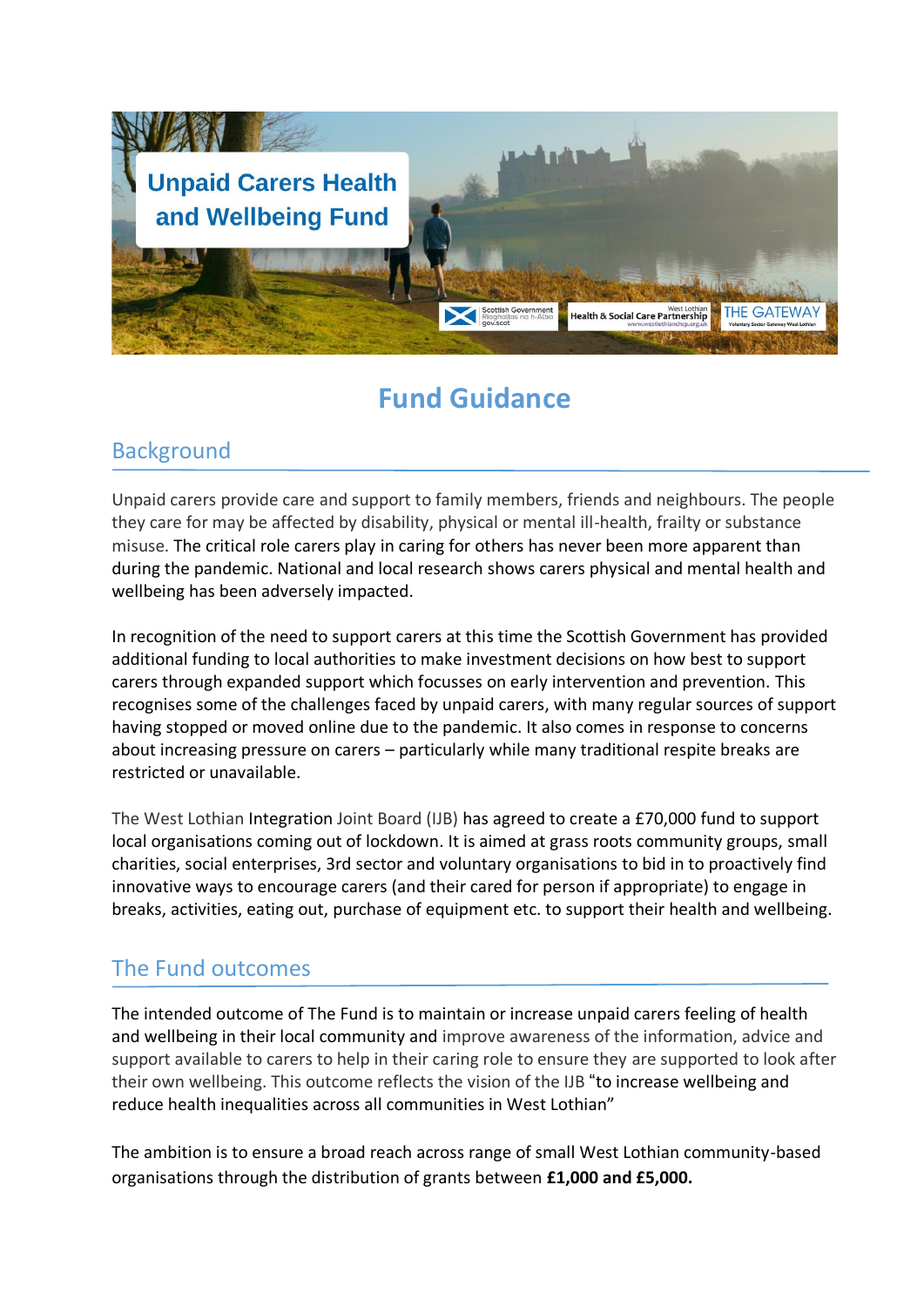

# **Fund Guidance**

### **Background**

Unpaid carers provide care and support to family members, friends and neighbours. The people they care for may be affected by disability, physical or mental ill-health, frailty or substance misuse. The critical role carers play in caring for others has never been more apparent than during the pandemic. National and local research shows carers physical and mental health and wellbeing has been adversely impacted.

In recognition of the need to support carers at this time the Scottish Government has provided additional funding to local authorities to make investment decisions on how best to support carers through expanded support which focusses on early intervention and prevention. This recognises some of the challenges faced by unpaid carers, with many regular sources of support having stopped or moved online due to the pandemic. It also comes in response to concerns about increasing pressure on carers – particularly while many traditional respite breaks are restricted or unavailable.

The West Lothian Integration Joint Board (IJB) has agreed to create a £70,000 fund to support local organisations coming out of lockdown. It is aimed at grass roots community groups, small charities, social enterprises, 3rd sector and voluntary organisations to bid in to proactively find innovative ways to encourage carers (and their cared for person if appropriate) to engage in breaks, activities, eating out, purchase of equipment etc. to support their health and wellbeing.

# The Fund outcomes

The intended outcome of The Fund is to maintain or increase unpaid carers feeling of health and wellbeing in their local community and improve awareness of the information, advice and support available to carers to help in their caring role to ensure they are supported to look after their own wellbeing. This outcome reflects the vision of the IJB "to increase wellbeing and reduce health inequalities across all communities in West Lothian"

The ambition is to ensure a broad reach across range of small West Lothian community-based organisations through the distribution of grants between **£1,000 and £5,000.**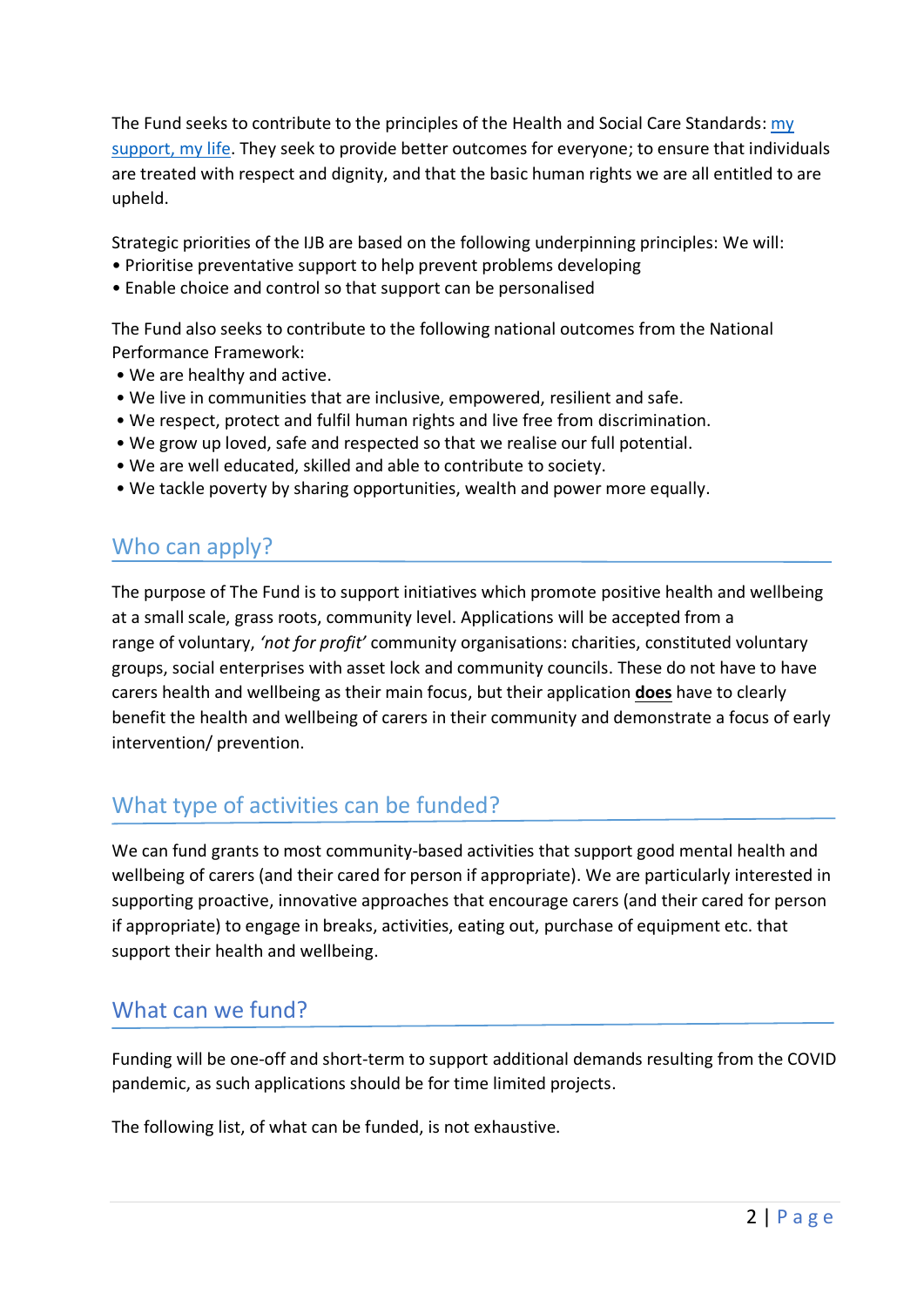The Fund seeks to contribute to the principles of the Health and Social Care Standards: [my](https://www.gov.scot/publications/health-social-care-standards-support-life/)  [support, my life.](https://www.gov.scot/publications/health-social-care-standards-support-life/) They seek to provide better outcomes for everyone; to ensure that individuals are treated with respect and dignity, and that the basic human rights we are all entitled to are upheld.

Strategic priorities of the IJB are based on the following underpinning principles: We will:

- Prioritise preventative support to help prevent problems developing
- Enable choice and control so that support can be personalised

The Fund also seeks to contribute to the following national outcomes from the National Performance Framework:

- We are healthy and active.
- We live in communities that are inclusive, empowered, resilient and safe.
- We respect, protect and fulfil human rights and live free from discrimination.
- We grow up loved, safe and respected so that we realise our full potential.
- We are well educated, skilled and able to contribute to society.
- We tackle poverty by sharing opportunities, wealth and power more equally.

#### Who can apply?

The purpose of The Fund is to support initiatives which promote positive health and wellbeing at a small scale, grass roots, community level. Applications will be accepted from a range of voluntary, *'not for profit'* community organisations: charities, constituted voluntary groups, social enterprises with asset lock and community councils. These do not have to have carers health and wellbeing as their main focus, but their application **does** have to clearly benefit the health and wellbeing of carers in their community and demonstrate a focus of early intervention/ prevention.

# What type of activities can be funded?

We can fund grants to most community-based activities that support good mental health and wellbeing of carers (and their cared for person if appropriate). We are particularly interested in supporting proactive, innovative approaches that encourage carers (and their cared for person if appropriate) to engage in breaks, activities, eating out, purchase of equipment etc. that support their health and wellbeing.

#### What can we fund?

Funding will be one-off and short-term to support additional demands resulting from the COVID pandemic, as such applications should be for time limited projects.

The following list, of what can be funded, is not exhaustive.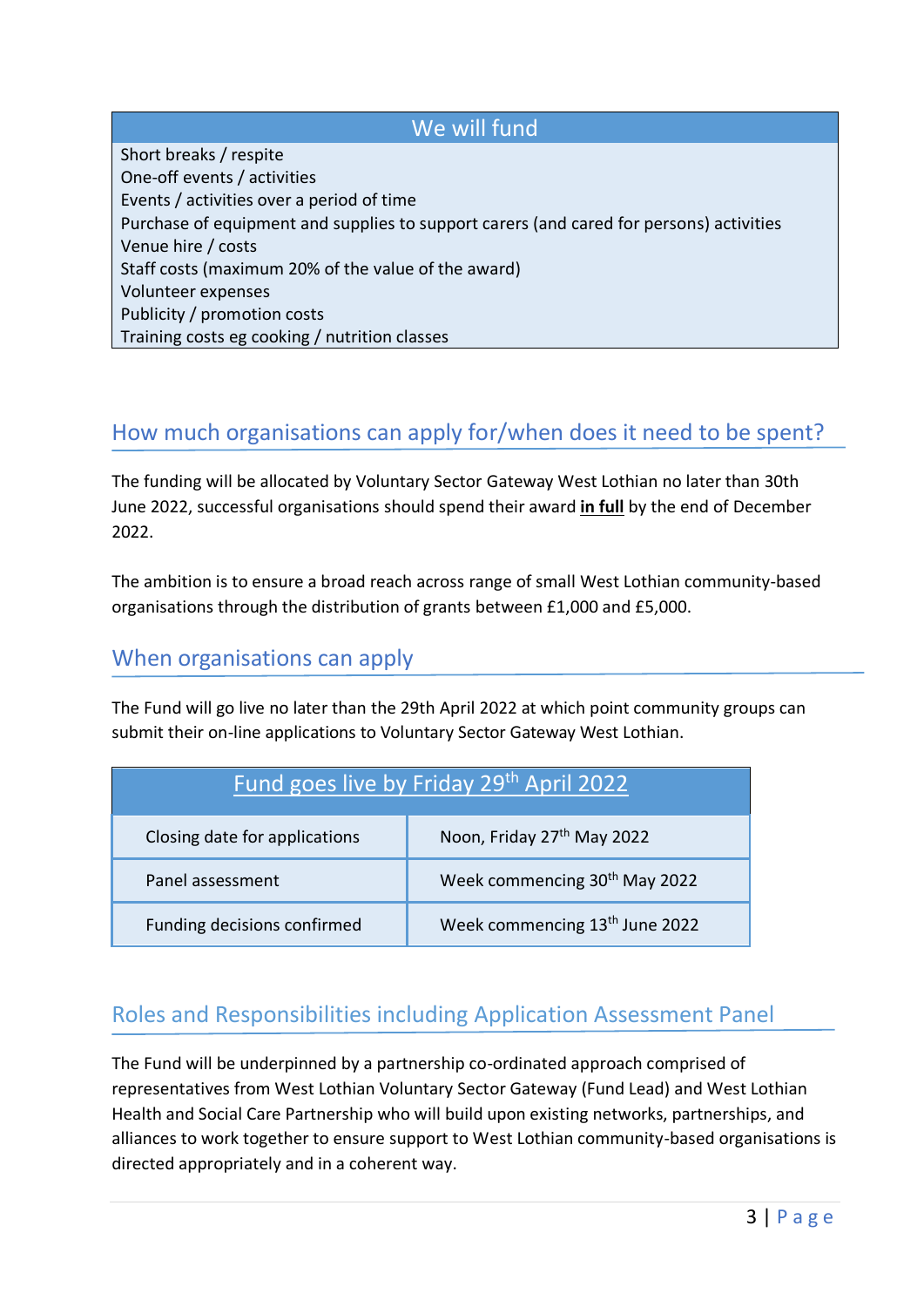#### We will fund

Short breaks / respite One-off events / activities Events / activities over a period of time Purchase of equipment and supplies to support carers (and cared for persons) activities Venue hire / costs Staff costs (maximum 20% of the value of the award) Volunteer expenses Publicity / promotion costs Training costs eg cooking / nutrition classes

### How much organisations can apply for/when does it need to be spent?

The funding will be allocated by Voluntary Sector Gateway West Lothian no later than 30th June 2022, successful organisations should spend their award **in full** by the end of December 2022.

The ambition is to ensure a broad reach across range of small West Lothian community-based organisations through the distribution of grants between £1,000 and £5,000.

#### When organisations can apply

The Fund will go live no later than the 29th April 2022 at which point community groups can submit their on-line applications to Voluntary Sector Gateway West Lothian.

| Fund goes live by Friday 29th April 2022 |                                            |
|------------------------------------------|--------------------------------------------|
| Closing date for applications            | Noon, Friday 27 <sup>th</sup> May 2022     |
| Panel assessment                         | Week commencing 30 <sup>th</sup> May 2022  |
| Funding decisions confirmed              | Week commencing 13 <sup>th</sup> June 2022 |

# Roles and Responsibilities including Application Assessment Panel

The Fund will be underpinned by a partnership co-ordinated approach comprised of representatives from West Lothian Voluntary Sector Gateway (Fund Lead) and West Lothian Health and Social Care Partnership who will build upon existing networks, partnerships, and alliances to work together to ensure support to West Lothian community-based organisations is directed appropriately and in a coherent way.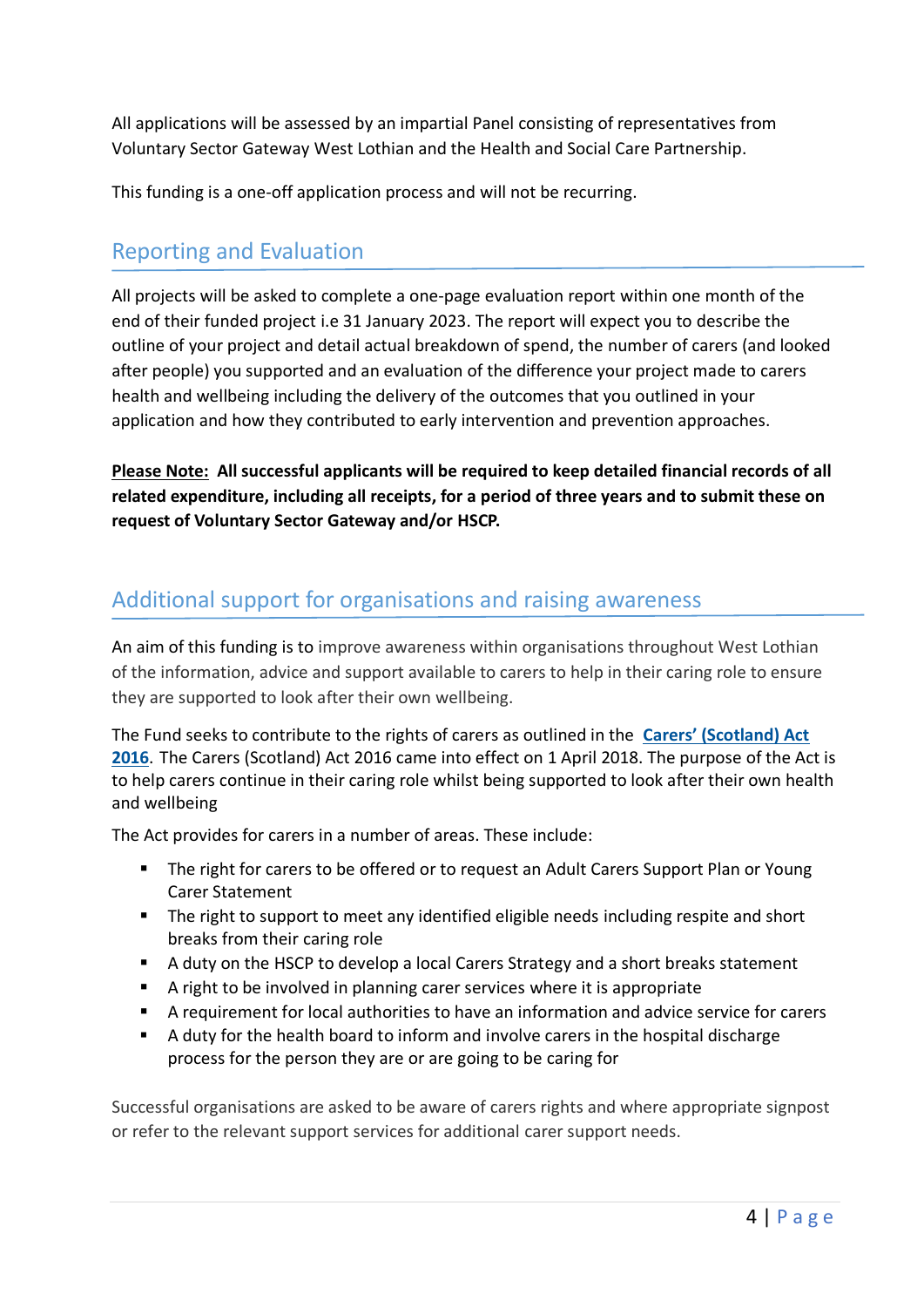All applications will be assessed by an impartial Panel consisting of representatives from Voluntary Sector Gateway West Lothian and the Health and Social Care Partnership.

This funding is a one-off application process and will not be recurring.

#### Reporting and Evaluation

All projects will be asked to complete a one-page evaluation report within one month of the end of their funded project i.e 31 January 2023. The report will expect you to describe the outline of your project and detail actual breakdown of spend, the number of carers (and looked after people) you supported and an evaluation of the difference your project made to carers health and wellbeing including the delivery of the outcomes that you outlined in your application and how they contributed to early intervention and prevention approaches.

**Please Note: All successful applicants will be required to keep detailed financial records of all related expenditure, including all receipts, for a period of three years and to submit these on request of Voluntary Sector Gateway and/or HSCP.** 

### Additional support for organisations and raising awareness

An aim of this funding is to improve awareness within organisations throughout West Lothian of the information, advice and support available to carers to help in their caring role to ensure they are supported to look after their own wellbeing.

The Fund seeks to contribute to the rights of carers as outlined in the **[Carers' \(Scotland\) Act](http://www.legislation.gov.uk/asp/2016/9/contents/enacted)  [2016](http://www.legislation.gov.uk/asp/2016/9/contents/enacted)**. The Carers (Scotland) Act 2016 came into effect on 1 April 2018. The purpose of the Act is to help carers continue in their caring role whilst being supported to look after their own health and wellbeing

The Act provides for carers in a number of areas. These include:

- The right for carers to be offered or to request an Adult Carers Support Plan or Young Carer Statement
- The right to support to meet any identified eligible needs including respite and short breaks from their caring role
- A duty on the HSCP to develop a local Carers Strategy and a short breaks statement
- A right to be involved in planning carer services where it is appropriate
- A requirement for local authorities to have an information and advice service for carers
- A duty for the health board to inform and involve carers in the hospital discharge process for the person they are or are going to be caring for

Successful organisations are asked to be aware of carers rights and where appropriate signpost or refer to the relevant support services for additional carer support needs.